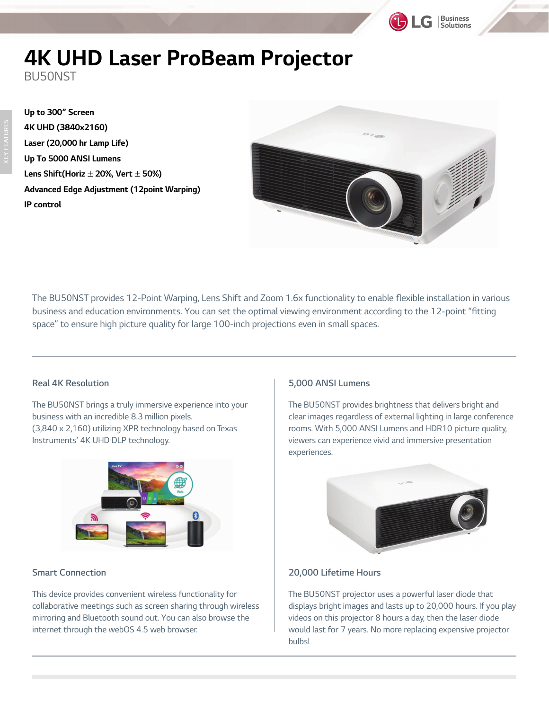# **4K UHD Laser ProBeam Projector**

BU50NST

**Up to 300" Screen 4K UHD (3840x2160) Laser (20,000 hr Lamp Life) Up To 5000 ANSI Lumens Lens Shift(Horiz** ± **20%, Vert** ± **50%) Advanced Edge Adjustment (12point Warping) IP control** 



**Business**<br>Solutions

*The BU50NST provides 12-Point Warping, Lens Shift and Zoom 1.6x functionality to enable flexible installation in various business and education environments. You can set the optimal viewing environment according to the 12-point "fitting space" to ensure high picture quality for large 100-inch projections even in small spaces.* 

#### **Real 4K Resolution**

*The BU50NST brings a truly immersive experience into your business with an incredible 8.3 million pixels. (3,840 x 2,160) utilizing XPR technology based on Texas Instruments' 4K UHD DLP technology.* 



### **Smart Connection**

*This device provides convenient wireless functionality for collaborative meetings such as screen sharing through wireless mirroring and Bluetooth sound out. You can also browse the internet through the webOS 4.5 web browser.*

#### **5,000 ANSI Lumens**

*The BU50NST provides brightness that delivers bright and clear images regardless of external lighting in large conference rooms. With 5,000 ANSI Lumens and HDR10 picture quality, viewers can experience vivid and immersive presentation experiences.* 



#### **20,000 Lifetime Hours**

*The BU50NST projector uses a powerful laser diode that displays bright images and lasts up to 20,000 hours. If you play videos on this projector 8 hours a day, then the laser diode would last for 7 years. No more replacing expensive projector bulbs!*